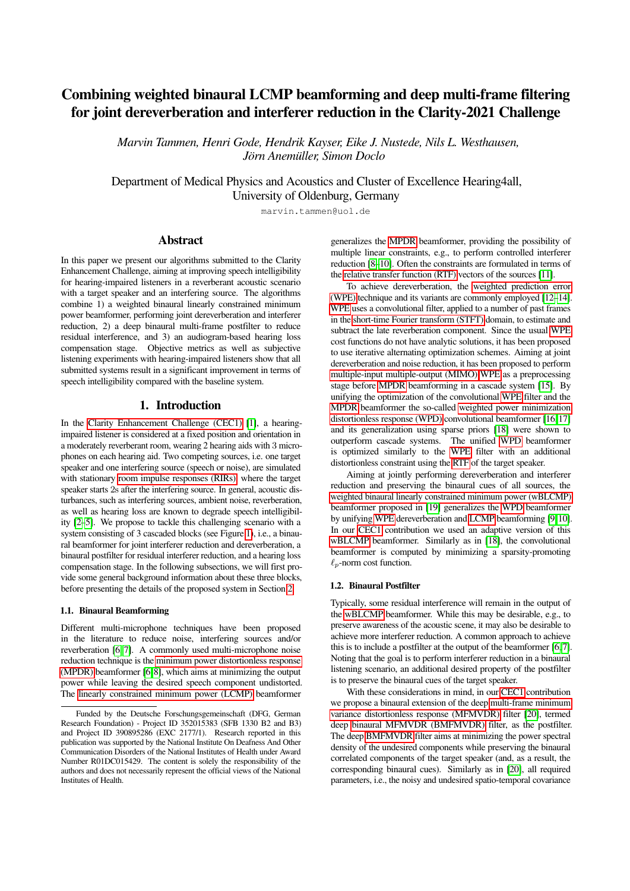# <span id="page-0-0"></span>Combining weighted binaural LCMP beamforming and deep multi-frame filtering for joint dereverberation and interferer reduction in the Clarity-2021 Challenge

*Marvin Tammen, Henri Gode, Hendrik Kayser, Eike J. Nustede, Nils L. Westhausen,*  $J\ddot{o}$ rn Anemüller, Simon Doclo

Department of Medical Physics and Acoustics and Cluster of Excellence Hearing4all, University of Oldenburg, Germany

marvin.tammen@uol.de

## Abstract

In this paper we present our algorithms submitted to the Clarity Enhancement Challenge, aiming at improving speech intelligibility for hearing-impaired listeners in a reverberant acoustic scenario with a target speaker and an interfering source. The algorithms combine 1) a weighted binaural linearly constrained minimum power beamformer, performing joint dereverberation and interferer reduction, 2) a deep binaural multi-frame postfilter to reduce residual interference, and 3) an audiogram-based hearing loss compensation stage. Objective metrics as well as subjective listening experiments with hearing-impaired listeners show that all submitted systems result in a significant improvement in terms of speech intelligibility compared with the baseline system.

# 1. Introduction

In the Clarity Enhancement Challenge (CEC1) [\[1\]](#page-4-0), a hearingimpaired listener is considered at a fixed position and orientation in a moderately reverberant room, wearing 2 hearing aids with 3 microphones on each hearing aid. Two competing sources, i.e. one target speaker and one interfering source (speech or noise), are simulated with stationary room impulse responses (RIRs), where the target speaker starts 2s after the interfering source. In general, acoustic disturbances, such as interfering sources, ambient noise, reverberation, as well as hearing loss are known to degrade speech intelligibility [\[2–](#page-4-1)[5\]](#page-5-0). We propose to tackle this challenging scenario with a system consisting of 3 cascaded blocks (see Figure [1\)](#page-1-0), i.e., a binaural beamformer for joint interferer reduction and dereverberation, a binaural postfilter for residual interferer reduction, and a hearing loss compensation stage. In the following subsections, we will first provide some general background information about these three blocks, before presenting the details of the proposed system in Section [2.](#page-1-1)

#### 1.1. Binaural Beamforming

Different multi-microphone techniques have been proposed in the literature to reduce noise, interfering sources and/or reverberation [\[6,](#page-5-1) [7\]](#page-5-2). A commonly used multi-microphone noise reduction technique is the minimum power distortionless response (MPDR) beamformer [\[6,](#page-5-1) [8\]](#page-5-3), which aims at minimizing the output power while leaving the desired speech component undistorted. The linearly constrained minimum power (LCMP) beamformer

generalizes the MPDR beamformer, providing the possibility of multiple linear constraints, e.g., to perform controlled interferer reduction [\[8–](#page-5-3)[10\]](#page-5-4). Often the constraints are formulated in terms of the relative transfer function (RTF) vectors of the sources [\[11\]](#page-5-5).

To achieve dereverberation, the weighted prediction error (WPE) technique and its variants are commonly employed [\[12](#page-5-6)[–14\]](#page-5-7). WPE uses a convolutional filter, applied to a number of past frames in the short-time Fourier transform (STFT) domain, to estimate and subtract the late reverberation component. Since the usual WPE cost functions do not have analytic solutions, it has been proposed to use iterative alternating optimization schemes. Aiming at joint dereverberation and noise reduction, it has been proposed to perform multiple-input multiple-output (MIMO) WPE as a preprocessing stage before MPDR beamforming in a cascade system [\[15\]](#page-5-8). By unifying the optimization of the convolutional WPE filter and the MPDR beamformer the so-called weighted power minimization distortionless response (WPD) convolutional beamformer [\[16,](#page-5-9) [17\]](#page-5-10) and its generalization using sparse priors [\[18\]](#page-5-11) were shown to outperform cascade systems. The unified WPD beamformer is optimized similarly to the WPE filter with an additional distortionless constraint using the RTF of the target speaker.

Aiming at jointly performing dereverberation and interferer reduction and preserving the binaural cues of all sources, the weighted binaural linearly constrained minimum power (wBLCMP) beamformer proposed in [\[19\]](#page-5-12) generalizes the WPD beamformer by unifying WPE dereverberation and LCMP beamforming [\[9,](#page-5-13) [10\]](#page-5-4). In our CEC1 contribution we used an adaptive version of this wBLCMP beamformer. Similarly as in [\[18\]](#page-5-11), the convolutional beamformer is computed by minimizing a sparsity-promoting  $\ell_p$ -norm cost function.

#### 1.2. Binaural Postfilter

Typically, some residual interference will remain in the output of the wBLCMP beamformer. While this may be desirable, e.g., to preserve awareness of the acoustic scene, it may also be desirable to achieve more interferer reduction. A common approach to achieve this is to include a postfilter at the output of the beamformer [\[6,](#page-5-1) [7\]](#page-5-2). Noting that the goal is to perform interferer reduction in a binaural listening scenario, an additional desired property of the postfilter is to preserve the binaural cues of the target speaker.

With these considerations in mind, in our CEC1 contribution we propose a binaural extension of the deep multi-frame minimum variance distortionless response (MFMVDR) filter [\[20\]](#page-5-14), termed deep binaural MFMVDR (BMFMVDR) filter, as the postfilter. The deep BMFMVDR filter aims at minimizing the power spectral density of the undesired components while preserving the binaural correlated components of the target speaker (and, as a result, the corresponding binaural cues). Similarly as in [\[20\]](#page-5-14), all required parameters, i.e., the noisy and undesired spatio-temporal covariance

Funded by the Deutsche Forschungsgemeinschaft (DFG, German Research Foundation) - Project ID 352015383 (SFB 1330 B2 and B3) and Project ID 390895286 (EXC 2177/1). Research reported in this publication was supported by the National Institute On Deafness And Other Communication Disorders of the National Institutes of Health under Award Number R01DC015429. The content is solely the responsibility of the authors and does not necessarily represent the official views of the National Institutes of Health.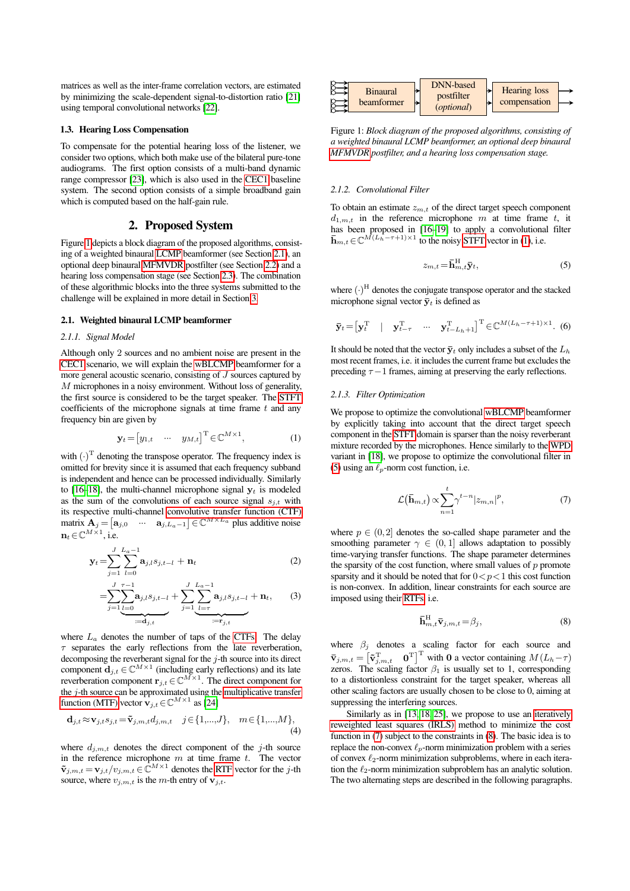matrices as well as the inter-frame correlation vectors, are estimated by minimizing the scale-dependent signal-to-distortion ratio [\[21\]](#page-5-15) using temporal convolutional networks [\[22\]](#page-5-16).

#### 1.3. Hearing Loss Compensation

To compensate for the potential hearing loss of the listener, we consider two options, which both make use of the bilateral pure-tone audiograms. The first option consists of a multi-band dynamic range compressor [\[23\]](#page-5-17), which is also used in the [CEC1](#page-0-0) baseline system. The second option consists of a simple broadband gain which is computed based on the half-gain rule.

# 2. Proposed System

<span id="page-1-1"></span>Figure [1](#page-1-0) depicts a block diagram of the proposed algorithms, consisting of a weighted binaural [LCMP](#page-0-0) beamformer (see Section [2.1\)](#page-1-2), an optional deep binaural [MFMVDR](#page-0-0) postfilter (see Section [2.2\)](#page-2-0) and a hearing loss compensation stage (see Section [2.3\)](#page-3-0). The combination of these algorithmic blocks into the three systems submitted to the challenge will be explained in more detail in Section [3.](#page-3-1)

#### <span id="page-1-2"></span>2.1. Weighted binaural LCMP beamformer

#### *2.1.1. Signal Model*

Although only 2 sources and no ambient noise are present in the [CEC1](#page-0-0) scenario, we will explain the [wBLCMP](#page-0-0) beamformer for a more general acoustic scenario, consisting of  $J$  sources captured by M microphones in a noisy environment. Without loss of generality, the first source is considered to be the target speaker. The [STFT](#page-0-0) coefficients of the microphone signals at time frame  $t$  and any frequency bin are given by

$$
\mathbf{y}_t = \begin{bmatrix} y_{1,t} & \cdots & y_{M,t} \end{bmatrix}^\mathrm{T} \in \mathbb{C}^{M \times 1},\tag{1}
$$

with  $(\cdot)^T$  denoting the transpose operator. The frequency index is omitted for brevity since it is assumed that each frequency subband is independent and hence can be processed individually. Similarly to [\[16](#page-5-9)[–18\]](#page-5-11), the multi-channel microphone signal  $y_t$  is modeled as the sum of the convolutions of each source signal  $s_{i,t}$  with its respective multi-channel [convolutive transfer function \(CTF\)](#page-0-0) matrix  $\mathbf{A}_j = \begin{bmatrix} \mathbf{a}_{j,0} & \cdots & \mathbf{a}_{j,L_a-1} \end{bmatrix} \in \mathbb{C}^{M \times L_a}$  plus additive noise  $\mathbf{n}_t \in \mathbb{C}^{M \times 1}$ , i.e.

$$
\mathbf{y}_{t} = \sum_{j=1}^{J} \sum_{l=0}^{L_{a}-1} \mathbf{a}_{j,l} s_{j,t-l} + \mathbf{n}_{t} \tag{2}
$$

$$
=\sum_{j=1}^{J} \underbrace{\sum_{l=0}^{\tau-1} a_{j,l} s_{j,t-l}}_{:=\mathbf{d}_{j,t}} + \sum_{j=1}^{J} \underbrace{\sum_{l=\tau}^{L_a-1} a_{j,l} s_{j,t-l}}_{:=\mathbf{r}_{j,t}} + \mathbf{n}_t, \quad (3)
$$

where  $L_a$  denotes the number of taps of the [CTFs.](#page-0-0) The delay  $\tau$  separates the early reflections from the late reverberation, decomposing the reverberant signal for the  $j$ -th source into its direct component  $\mathbf{d}_{j,t} \in \mathbb{C}^{M \times 1}$  (including early reflections) and its late reverberation component  $\mathbf{r}_{j,t} \in \mathbb{C}^{M \times 1}$ . The direct component for the  $j$ -th source can be approximated using the [multiplicative transfer](#page-0-0) [function \(MTF\)](#page-0-0) vector  $\mathbf{v}_{j,t} \in \mathbb{C}^{M \times 1}$  as [\[24\]](#page-5-18)

$$
\mathbf{d}_{j,t} \approx \mathbf{v}_{j,t} s_{j,t} = \tilde{\mathbf{v}}_{j,m,t} d_{j,m,t} \quad j \in \{1,...,J\}, \quad m \in \{1,...,M\},\tag{4}
$$

where  $d_{i,m,t}$  denotes the direct component of the j-th source in the reference microphone  $m$  at time frame  $t$ . The vector  $\tilde{\mathbf{v}}_{j,m,t} = \mathbf{v}_{j,t}/v_{j,m,t} \in \hat{\mathbb{C}}^{M \times 1}$  denotes the [RTF](#page-0-0) vector for the j-th source, where  $v_{j,m,t}$  is the m-th entry of  $\mathbf{v}_{j,t}$ .

<span id="page-1-0"></span>

Figure 1: *Block diagram of the proposed algorithms, consisting of a weighted binaural LCMP beamformer, an optional deep binaural [MFMVDR](#page-0-0) postfilter, and a hearing loss compensation stage.*

#### *2.1.2. Convolutional Filter*

To obtain an estimate  $z_{m,t}$  of the direct target speech component  $d_{1,m,t}$  in the reference microphone m at time frame t, it has been proposed in [\[16](#page-5-9)[–19\]](#page-5-12) to apply a convolutional filter  $\overline{\mathbf{h}}_{m,t} \in \mathbb{C}^{\tilde{M}(L_h - \tau + 1) \times 1}$  to the noisy [STFT](#page-0-0) vector in [\(1\)](#page-1-3), i.e.

<span id="page-1-4"></span>
$$
z_{m,t} = \overline{\mathbf{h}}_{m,t}^{\mathrm{H}} \overline{\mathbf{y}}_t,\tag{5}
$$

where  $(\cdot)^{\text{H}}$  denotes the conjugate transpose operator and the stacked microphone signal vector  $\bar{y}_t$  is defined as

$$
\overline{\mathbf{y}}_t = [\mathbf{y}_t^{\mathrm{T}} \quad | \quad \mathbf{y}_{t-\tau}^{\mathrm{T}} \quad \cdots \quad \mathbf{y}_{t-L_h+1}^{\mathrm{T}}]^{\mathrm{T}} \in \mathbb{C}^{M(L_h - \tau + 1) \times 1}.
$$
 (6)

It should be noted that the vector  $\bar{y}_t$  only includes a subset of the  $L_h$ most recent frames, i.e. it includes the current frame but excludes the preceding  $\tau-1$  frames, aiming at preserving the early reflections.

#### *2.1.3. Filter Optimization*

<span id="page-1-3"></span>We propose to optimize the convolutional [wBLCMP](#page-0-0) beamformer by explicitly taking into account that the direct target speech component in the [STFT](#page-0-0) domain is sparser than the noisy reverberant mixture recorded by the microphones. Hence similarly to the [WPD](#page-0-0) variant in [\[18\]](#page-5-11), we propose to optimize the convolutional filter in [\(5\)](#page-1-4) using an  $\ell_p$ -norm cost function, i.e.

<span id="page-1-5"></span>
$$
\mathcal{L}(\bar{\mathbf{h}}_{m,t}) \propto \sum_{n=1}^{t} \gamma^{t-n} |z_{m,n}|^p, \tag{7}
$$

where  $p \in (0,2]$  denotes the so-called shape parameter and the smoothing parameter  $\gamma \in (0, 1]$  allows adaptation to possibly time-varying transfer functions. The shape parameter determines the sparsity of the cost function, where small values of  $p$  promote sparsity and it should be noted that for  $0 < p < 1$  this cost function is non-convex. In addition, linear constraints for each source are imposed using their [RTFs,](#page-0-0) i.e.

<span id="page-1-6"></span>
$$
\overline{\mathbf{h}}_{m,t}^{\mathrm{H}} \overline{\mathbf{v}}_{j,m,t} = \beta_j,\tag{8}
$$

where  $\beta_i$  denotes a scaling factor for each source and  $\bar{\mathbf{v}}_{j,m,t} = \begin{bmatrix} \tilde{\mathbf{v}}_{j,m,t}^{\mathrm{T}} & \mathbf{0}^{\mathrm{T}} \end{bmatrix}^{\mathrm{T}}$  with 0 a vector containing  $M(L_h-\tau)$ zeros. The scaling factor  $\beta_1$  is usually set to 1, corresponding to a distortionless constraint for the target speaker, whereas all other scaling factors are usually chosen to be close to 0, aiming at suppressing the interfering sources.

Similarly as in [\[13,](#page-5-19) [18,](#page-5-11) [25\]](#page-5-20), we propose to use an [iteratively](#page-0-0) [reweighted least squares \(IRLS\)](#page-0-0) method to minimize the cost function in [\(7\)](#page-1-5) subject to the constraints in [\(8\)](#page-1-6). The basic idea is to replace the non-convex  $\ell_p$ -norm minimization problem with a series of convex  $\ell_2$ -norm minimization subproblems, where in each iteration the  $\ell_2$ -norm minimization subproblem has an analytic solution. The two alternating steps are described in the following paragraphs.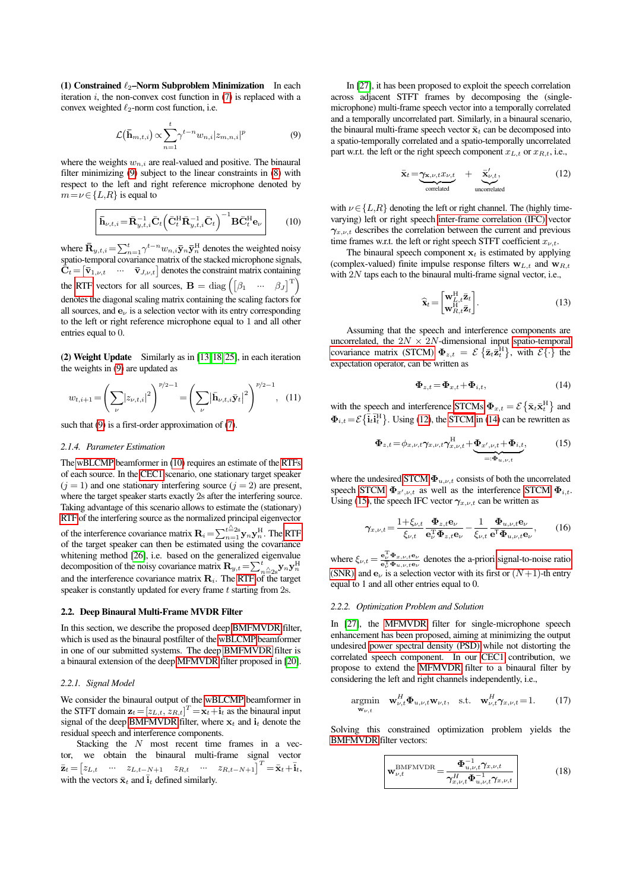(1) Constrained  $\ell_2$ –Norm Subproblem Minimization In each iteration  $i$ , the non-convex cost function in  $(7)$  is replaced with a convex weighted  $\ell_2$ -norm cost function, i.e.

$$
\mathcal{L}(\bar{\mathbf{h}}_{m,t,i}) \propto \sum_{n=1}^{t} \gamma^{t-n} w_{n,i} |z_{m,n,i}|^p \tag{9}
$$

where the weights  $w_{n,i}$  are real-valued and positive. The binaural filter minimizing [\(9\)](#page-2-1) subject to the linear constraints in [\(8\)](#page-1-6) with respect to the left and right reference microphone denoted by  $m = \nu \in \{L, R\}$  is equal to

$$
\left| \bar{\mathbf{h}}_{\nu,t,i} = \bar{\mathbf{R}}_{y,t,i}^{-1} \bar{\mathbf{C}}_t \left( \bar{\mathbf{C}}_t^{\mathrm{H}} \bar{\mathbf{R}}_{y,t,i}^{-1} \bar{\mathbf{C}}_t \right)^{-1} \mathbf{B} \bar{\mathbf{C}}_t^{\mathrm{H}} \mathbf{e}_{\nu} \right| \tag{10}
$$

where  $\bar{\mathbf{R}}_{y,t,i} = \sum_{n=1}^{t} \gamma^{t-n} w_{n,i} \bar{\mathbf{y}}_n \bar{\mathbf{y}}_n^{\mathrm{H}}$  denotes the weighted noisy spatio-temporal covariance matrix of the stacked microphone signals,  $\hat{\bar{\mathbf{C}}}_t = [\bar{\mathbf{v}}_{1,\nu,t} \quad \cdots \quad \bar{\mathbf{v}}_{J,\nu,t}]$  denotes the constraint matrix containing the [RTF](#page-0-0) vectors for all sources,  $\mathbf{B} = \text{diag} \left( \begin{bmatrix} \beta_1 & \cdots & \beta_J \end{bmatrix}^T \right)$ denotes the diagonal scaling matrix containing the scaling factors for all sources, and  $\mathbf{e}_{\nu}$  is a selection vector with its entry corresponding to the left or right reference microphone equal to 1 and all other entries equal to 0.

(2) Weight Update Similarly as in [\[13,](#page-5-19) [18,](#page-5-11) [25\]](#page-5-20), in each iteration the weights in [\(9\)](#page-2-1) are updated as

$$
w_{t,i+1} = \left(\sum_{\nu} |z_{\nu,t,i}|^2\right)^{p/2-1} = \left(\sum_{\nu} \left|\bar{\mathbf{h}}_{\nu,t,i}\bar{\mathbf{y}}_t\right|^2\right)^{p/2-1},\quad(11)
$$

such that [\(9\)](#page-2-1) is a first-order approximation of [\(7\)](#page-1-5).

#### *2.1.4. Parameter Estimation*

The [wBLCMP](#page-0-0) beamformer in [\(10\)](#page-2-2) requires an estimate of the [RTFs](#page-0-0) of each source. In the [CEC1](#page-0-0) scenario, one stationary target speaker  $(j = 1)$  and one stationary interfering source  $(j = 2)$  are present, where the target speaker starts exactly 2s after the interfering source. Taking advantage of this scenario allows to estimate the (stationary) [RTF](#page-0-0) of the interfering source as the normalized principal eigenvector

of the interference covariance matrix  $\mathbf{R}_i = \sum_{n=1}^{t \triangle 2s} \mathbf{y}_n \mathbf{y}_n^{\text{H}}$ . The [RTF](#page-0-0) of the target speaker can then be estimated using the covariance whitening method [\[26\]](#page-5-21), i.e. based on the generalized eigenvalue decomposition of the noisy covariance matrix  $\mathbf{R}_{y,t} = \sum_{n=2s}^{t} \mathbf{y}_n \mathbf{y}_n^H$ and the interference covariance matrix  $\mathbf{R}_i$ . The [RTF](#page-0-0) of the target speaker is constantly updated for every frame  $t$  starting from  $2s$ .

#### <span id="page-2-0"></span>2.2. Deep Binaural Multi-Frame MVDR Filter

In this section, we describe the proposed deep [BMFMVDR](#page-0-0) filter, which is used as the binaural postfilter of the [wBLCMP](#page-0-0) beamformer in one of our submitted systems. The deep [BMFMVDR](#page-0-0) filter is a binaural extension of the deep [MFMVDR](#page-0-0) filter proposed in [\[20\]](#page-5-14).

#### *2.2.1. Signal Model*

We consider the binaural output of the [wBLCMP](#page-0-0) beamformer in the STFT domain  $\mathbf{z}_t = [z_{L,t}, z_{R,t}]^T = \mathbf{x}_t + \mathbf{i}_t$  as the binaural input signal of the deep [BMFMVDR](#page-0-0) filter, where  $x_t$  and  $i_t$  denote the residual speech and interference components.

Stacking the N most recent time frames in a vector, we obtain the binaural multi-frame signal vector  $\bar{\mathbf{z}}_t\!=\!\begin{bmatrix} z_{L,t} & \cdots & z_{L,t-N+1} & z_{R,t} & \cdots & z_{R,t-N+1} \end{bmatrix}^T\!=\!\bar{\mathbf{x}}_t\!+\!\bar{\mathbf{i}}_t,$ with the vectors  $\bar{\mathbf{x}}_t$  and  $\bar{\mathbf{i}}_t$  defined similarly.

<span id="page-2-1"></span>In [\[27\]](#page-5-22), it has been proposed to exploit the speech correlation across adjacent STFT frames by decomposing the (singlemicrophone) multi-frame speech vector into a temporally correlated and a temporally uncorrelated part. Similarly, in a binaural scenario, the binaural multi-frame speech vector  $\bar{\mathbf{x}}_t$  can be decomposed into a spatio-temporally correlated and a spatio-temporally uncorrelated part w.r.t. the left or the right speech component  $x_{L,t}$  or  $x_{R,t}$ , i.e.,

<span id="page-2-3"></span>
$$
\bar{\mathbf{x}}_t = \underbrace{\gamma_{\mathbf{x},\nu,t} x_{\nu,t}}_{\text{correlated}} + \underbrace{\bar{\mathbf{x}}'_{\nu,t}}_{\text{uncorrelated}},
$$
\n(12)

<span id="page-2-2"></span>with  $\nu \in \{L, R\}$  denoting the left or right channel. The (highly timevarying) left or right speech [inter-frame correlation \(IFC\)](#page-0-0) vector  $\gamma_{x,\nu,t}$  describes the correlation between the current and previous time frames w.r.t. the left or right speech STFT coefficient  $x_{\nu,t}$ .

The binaural speech component  $x_t$  is estimated by applying (complex-valued) finite impulse response filters  $w_{L,t}$  and  $w_{R,t}$ with  $2N$  taps each to the binaural multi-frame signal vector, i.e.,

$$
\widehat{\mathbf{x}}_t = \begin{bmatrix} \mathbf{w}_{L,t}^{\mathrm{H}} \bar{\mathbf{z}}_t \\ \mathbf{w}_{R,t}^{\mathrm{H}} \bar{\mathbf{z}}_t \end{bmatrix} . \tag{13}
$$

Assuming that the speech and interference components are uncorrelated, the  $2N \times 2N$ -dimensional input [spatio-temporal](#page-0-0) [covariance matrix \(STCM\)](#page-0-0)  $\mathbf{\Phi}_{z,t} = \mathcal{E} \{ \bar{\mathbf{z}}_t \bar{\mathbf{z}}_t^{\text{H}} \}$ , with  $\mathcal{E} \{ \cdot \}$  the expectation operator, can be written as

<span id="page-2-4"></span>
$$
\Phi_{z,t} = \Phi_{x,t} + \Phi_{i,t},\tag{14}
$$

with the speech and interference [STCMs](#page-0-0)  $\mathbf{\Phi}_{x,t} = \mathcal{E} \{ \bar{\mathbf{x}}_t \bar{\mathbf{x}}_t^{\text{H}} \}$  and  $\Phi_{i,t} = \mathcal{E} \{ \overline{\mathbf{i}}_t \overline{\mathbf{i}}_t^H \}$ . Using [\(12\)](#page-2-3), the [STCM](#page-0-0) in [\(14\)](#page-2-4) can be rewritten as

<span id="page-2-5"></span>
$$
\Phi_{z,t} = \phi_{x,\nu,t} \gamma_{x,\nu,t} \gamma_{x,\nu,t}^{\mathrm{H}} + \underbrace{\Phi_{x',\nu,t} + \Phi_{i,t}}_{=: \Phi_{u,\nu,t}},
$$
\n(15)

where the undesired [STCM](#page-0-0)  $\Phi_{u,v,t}$  consists of both the uncorrelated speech [STCM](#page-0-0)  $\Phi_{x',\nu,t}$  as well as the interference STCM  $\Phi_{i,t}$ . Using [\(15\)](#page-2-5), the speech IFC vector  $\gamma_{x,\nu,t}$  can be written as

<span id="page-2-7"></span>
$$
\gamma_{x,\nu,t} = \frac{1+\xi_{\nu,t}}{\xi_{\nu,t}} \frac{\Phi_{z,t} \mathbf{e}_{\nu}}{\mathbf{e}_{\nu}^{\mathrm{T}} \Phi_{z,t} \mathbf{e}_{\nu}} - \frac{1}{\xi_{\nu,t}} \frac{\Phi_{u,\nu,t} \mathbf{e}_{\nu}}{\mathbf{e}^{\mathrm{T}} \Phi_{u,\nu,t} \mathbf{e}_{\nu}},\qquad(16)
$$

where  $\xi_{\nu,t} = \frac{e_{\nu}^{\text{T}} \Phi_{x,\nu,t} e_{\nu}}{e_{\nu}^{\text{T}} \Phi_{u,\nu,t} e_{\nu}}$  denotes the a-priori [signal-to-noise ratio](#page-0-0) [\(SNR\),](#page-0-0) and  $e_{\nu}$  is a selection vector with its first or  $(N+1)$ -th entry equal to 1 and all other entries equal to 0.

#### *2.2.2. Optimization Problem and Solution*

In [\[27\]](#page-5-22), the [MFMVDR](#page-0-0) filter for single-microphone speech enhancement has been proposed, aiming at minimizing the output undesired [power spectral density \(PSD\)](#page-0-0) while not distorting the correlated speech component. In our [CEC1](#page-0-0) contribution, we propose to extend the [MFMVDR](#page-0-0) filter to a binaural filter by considering the left and right channels independently, i.e.,

$$
\underset{\mathbf{w}_{\nu,t}}{\text{argmin}} \quad \mathbf{w}_{\nu,t}^H \mathbf{\Phi}_{u,\nu,t} \mathbf{w}_{\nu,t}, \quad \text{s.t.} \quad \mathbf{w}_{\nu,t}^H \gamma_{x,\nu,t} = 1. \tag{17}
$$

Solving this constrained optimization problem yields the [BMFMVDR](#page-0-0) filter vectors:

<span id="page-2-6"></span>
$$
\begin{vmatrix} \mathbf{w}_{\nu,t}^{\text{BMFMVDR}} = \frac{\mathbf{\Phi}_{u,\nu,t}^{-1} \gamma_{x,\nu,t}}{\gamma_{x,\nu,t}^H \mathbf{\Phi}_{u,\nu,t}^{-1} \gamma_{x,\nu,t}} \end{vmatrix}
$$
 (18)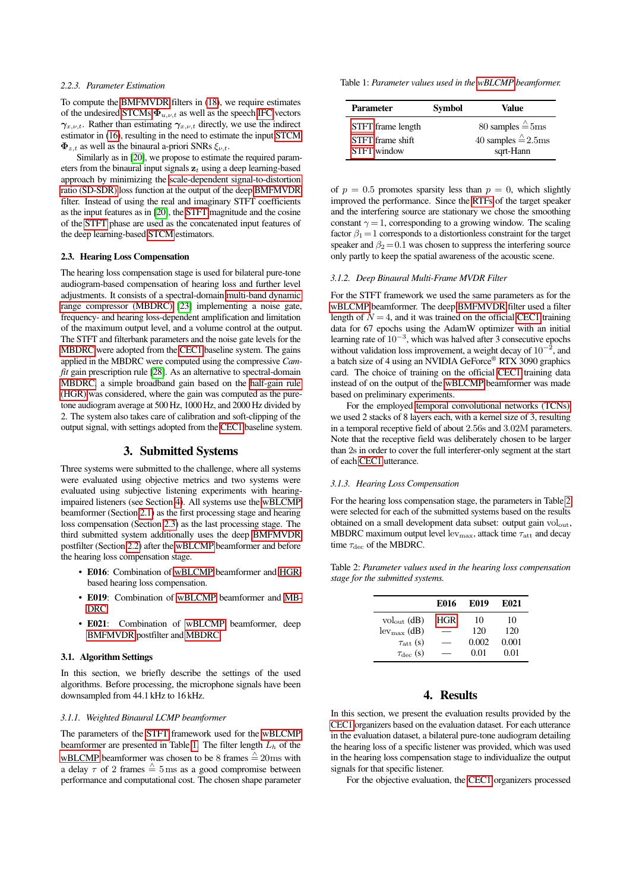## *2.2.3. Parameter Estimation*

To compute the [BMFMVDR](#page-0-0) filters in [\(18\)](#page-2-6), we require estimates of the undesired [STCMs](#page-0-0)  $\Phi_{u,v,t}$  as well as the speech [IFC](#page-0-0) vectors  $\gamma_{x,\nu,t}$ . Rather than estimating  $\gamma_{x,\nu,t}$  directly, we use the indirect estimator in [\(16\)](#page-2-7), resulting in the need to estimate the input [STCM](#page-0-0)  $\Phi_{z,t}$  as well as the binaural a-priori SNRs  $\xi_{\nu,t}$ .

Similarly as in [\[20\]](#page-5-14), we propose to estimate the required parameters from the binaural input signals  $z_t$  using a deep learning-based approach by minimizing the [scale-dependent signal-to-distortion](#page-0-0) [ratio \(SD-SDR\)](#page-0-0) loss function at the output of the deep [BMFMVDR](#page-0-0) filter. Instead of using the real and imaginary STFT coefficients as the input features as in [\[20\]](#page-5-14), the [STFT](#page-0-0) magnitude and the cosine of the [STFT](#page-0-0) phase are used as the concatenated input features of the deep learning-based [STCM](#page-0-0) estimators.

#### <span id="page-3-0"></span>2.3. Hearing Loss Compensation

The hearing loss compensation stage is used for bilateral pure-tone audiogram-based compensation of hearing loss and further level adjustments. It consists of a spectral-domain [multi-band dynamic](#page-0-0) [range compressor \(MBDRC\)](#page-0-0) [\[23\]](#page-5-17) implementing a noise gate, frequency- and hearing loss-dependent amplification and limitation of the maximum output level, and a volume control at the output. The STFT and filterbank parameters and the noise gate levels for the [MBDRC](#page-0-0) were adopted from the [CEC1](#page-0-0) baseline system. The gains applied in the MBDRC were computed using the compressive *Camfit* gain prescription rule [\[28\]](#page-5-23). As an alternative to spectral-domain [MBDRC,](#page-0-0) a simple broadband gain based on the [half-gain rule](#page-0-0) [\(HGR\)](#page-0-0) was considered, where the gain was computed as the puretone audiogram average at 500 Hz, 1000 Hz, and 2000 Hz divided by 2. The system also takes care of calibration and soft-clipping of the output signal, with settings adopted from the [CEC1](#page-0-0) baseline system.

# 3. Submitted Systems

<span id="page-3-1"></span>Three systems were submitted to the challenge, where all systems were evaluated using objective metrics and two systems were evaluated using subjective listening experiments with hearingimpaired listeners (see Section [4\)](#page-3-2). All systems use the [wBLCMP](#page-0-0) beamformer (Section [2.1\)](#page-1-2) as the first processing stage and hearing loss compensation (Section [2.3\)](#page-3-0) as the last processing stage. The third submitted system additionally uses the deep [BMFMVDR](#page-0-0) postfilter (Section [2.2\)](#page-2-0) after the [wBLCMP](#page-0-0) beamformer and before the hearing loss compensation stage.

- E016: Combination of [wBLCMP](#page-0-0) beamformer and [HGR](#page-0-0)based hearing loss compensation.
- E019: Combination of [wBLCMP](#page-0-0) beamformer and [MB-](#page-0-0)[DRC.](#page-0-0)
- E021: Combination of [wBLCMP](#page-0-0) beamformer, deep [BMFMVDR](#page-0-0) postfilter and [MBDRC.](#page-0-0)

## 3.1. Algorithm Settings

In this section, we briefly describe the settings of the used algorithms. Before processing, the microphone signals have been downsampled from 44.1 kHz to 16 kHz.

#### *3.1.1. Weighted Binaural LCMP beamformer*

The parameters of the [STFT](#page-0-0) framework used for the [wBLCMP](#page-0-0) beamformer are presented in Table [1.](#page-3-3) The filter length  $L<sub>h</sub>$  of the [wBLCMP](#page-0-0) beamformer was chosen to be 8 frames  $\stackrel{\wedge}{=} 20$ ms with a delay  $\tau$  of 2 frames  $\stackrel{\wedge}{=}$  5 ms as a good compromise between performance and computational cost. The chosen shape parameter <span id="page-3-3"></span>Table 1: *Parameter values used in the [wBLCMP](#page-0-0) beamformer.*

| <b>Parameter</b>                       | <b>Symbol</b> | Value                                                 |  |
|----------------------------------------|---------------|-------------------------------------------------------|--|
| STFT frame length                      |               | 80 samples $\stackrel{\wedge}{=}$ 5ms                 |  |
| STFT frame shift<br><b>STFT</b> window |               | 40 samples $\stackrel{\wedge}{=} 2.5$ ms<br>sqrt-Hann |  |

of  $p = 0.5$  promotes sparsity less than  $p = 0$ , which slightly improved the performance. Since the [RTFs](#page-0-0) of the target speaker and the interfering source are stationary we chose the smoothing constant  $\gamma = 1$ , corresponding to a growing window. The scaling factor  $\beta_1=1$  corresponds to a distortionless constraint for the target speaker and  $\beta_2=0.1$  was chosen to suppress the interfering source only partly to keep the spatial awareness of the acoustic scene.

#### *3.1.2. Deep Binaural Multi-Frame MVDR Filter*

For the STFT framework we used the same parameters as for the [wBLCMP](#page-0-0) beamformer. The deep [BMFMVDR](#page-0-0) filter used a filter length of  $N = 4$ , and it was trained on the official [CEC1](#page-0-0) training data for 67 epochs using the AdamW optimizer with an initial learning rate of  $10^{-3}$ , which was halved after 3 consecutive epochs without validation loss improvement, a weight decay of  $10^{-2}$ , and a batch size of 4 using an NVIDIA GeForce® RTX 3090 graphics card. The choice of training on the official [CEC1](#page-0-0) training data instead of on the output of the [wBLCMP](#page-0-0) beamformer was made based on preliminary experiments.

For the employed [temporal convolutional networks \(TCNs\),](#page-0-0) we used 2 stacks of 8 layers each, with a kernel size of 3, resulting in a temporal receptive field of about 2.56s and 3.02M parameters. Note that the receptive field was deliberately chosen to be larger than 2s in order to cover the full interferer-only segment at the start of each [CEC1](#page-0-0) utterance.

## *3.1.3. Hearing Loss Compensation*

For the hearing loss compensation stage, the parameters in Table [2](#page-3-4) were selected for each of the submitted systems based on the results obtained on a small development data subset: output gain volout, MBDRC maximum output level lev<sub>max</sub>, attack time  $\tau_{\text{att}}$  and decay time  $\tau_{\text{dec}}$  of the MBDRC.

<span id="page-3-4"></span>Table 2: *Parameter values used in the hearing loss compensation stage for the submitted systems.*

|                                | E016 | <b>E019</b> | <b>E021</b> |
|--------------------------------|------|-------------|-------------|
| $\text{vol}_{\text{out}}$ (dB) | HGR  | 10          | 10          |
| $lev_{max}$ (dB)               |      | 120         | 120         |
| $\tau_{\rm att}$ (s)           |      | 0.002       | 0.001       |
| $\tau_{\text{dec}}$ (s)        |      | 0.01        | 0.01        |

# 4. Results

<span id="page-3-2"></span>In this section, we present the evaluation results provided by the [CEC1](#page-0-0) organizers based on the evaluation dataset. For each utterance in the evaluation dataset, a bilateral pure-tone audiogram detailing the hearing loss of a specific listener was provided, which was used in the hearing loss compensation stage to individualize the output signals for that specific listener.

For the objective evaluation, the [CEC1](#page-0-0) organizers processed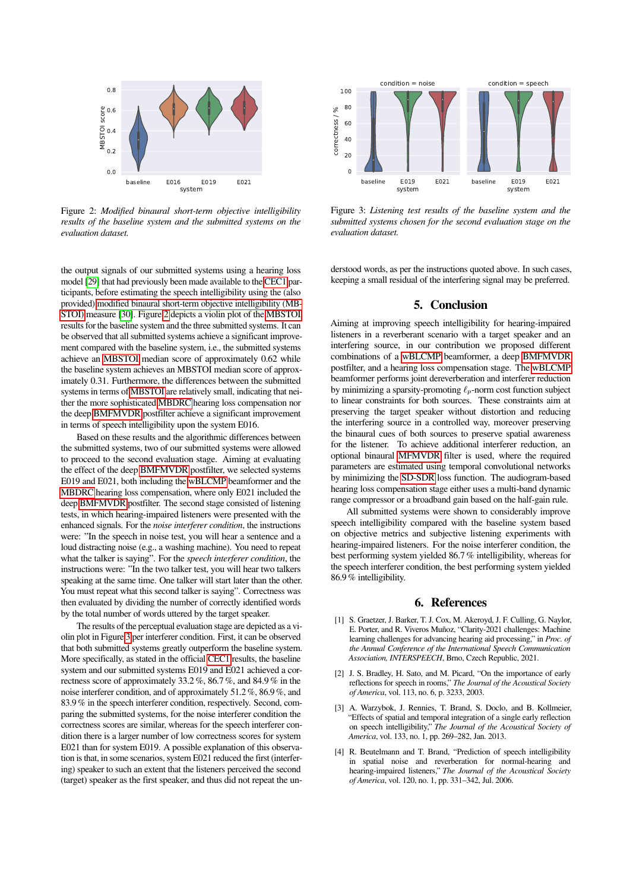<span id="page-4-2"></span>

Figure 2: *Modified binaural short-term objective intelligibility results of the baseline system and the submitted systems on the evaluation dataset.*

the output signals of our submitted systems using a hearing loss model [\[29\]](#page-5-24) that had previously been made available to the [CEC1](#page-0-0) participants, before estimating the speech intelligibility using the (also provided) [modified binaural short-term objective intelligibility \(MB-](#page-0-0)[STOI\)](#page-0-0) measure [\[30\]](#page-5-25). Figure [2](#page-4-2) depicts a violin plot of the [MBSTOI](#page-0-0) results for the baseline system and the three submitted systems. It can be observed that all submitted systems achieve a significant improvement compared with the baseline system, i.e., the submitted systems achieve an [MBSTOI](#page-0-0) median score of approximately 0.62 while the baseline system achieves an MBSTOI median score of approximately 0.31. Furthermore, the differences between the submitted systems in terms of [MBSTOI](#page-0-0) are relatively small, indicating that neither the more sophisticated [MBDRC](#page-0-0) hearing loss compensation nor the deep [BMFMVDR](#page-0-0) postfilter achieve a significant improvement in terms of speech intelligibility upon the system E016.

Based on these results and the algorithmic differences between the submitted systems, two of our submitted systems were allowed to proceed to the second evaluation stage. Aiming at evaluating the effect of the deep [BMFMVDR](#page-0-0) postfilter, we selected systems E019 and E021, both including the [wBLCMP](#page-0-0) beamformer and the [MBDRC](#page-0-0) hearing loss compensation, where only E021 included the deep [BMFMVDR](#page-0-0) postfilter. The second stage consisted of listening tests, in which hearing-impaired listeners were presented with the enhanced signals. For the *noise interferer condition*, the instructions were: "In the speech in noise test, you will hear a sentence and a loud distracting noise (e.g., a washing machine). You need to repeat what the talker is saying". For the *speech interferer condition*, the instructions were: "In the two talker test, you will hear two talkers speaking at the same time. One talker will start later than the other. You must repeat what this second talker is saying". Correctness was then evaluated by dividing the number of correctly identified words by the total number of words uttered by the target speaker.

The results of the perceptual evaluation stage are depicted as a violin plot in Figure [3](#page-4-3) per interferer condition. First, it can be observed that both submitted systems greatly outperform the baseline system. More specifically, as stated in the official [CEC1](#page-0-0) results, the baseline system and our submitted systems E019 and E021 achieved a correctness score of approximately 33.2 %, 86.7 %, and 84.9 % in the noise interferer condition, and of approximately 51.2 %, 86.9 %, and 83.9 % in the speech interferer condition, respectively. Second, comparing the submitted systems, for the noise interferer condition the correctness scores are similar, whereas for the speech interferer condition there is a larger number of low correctness scores for system E021 than for system E019. A possible explanation of this observation is that, in some scenarios, system E021 reduced the first (interfering) speaker to such an extent that the listeners perceived the second (target) speaker as the first speaker, and thus did not repeat the un-

<span id="page-4-3"></span>

Figure 3: *Listening test results of the baseline system and the submitted systems chosen for the second evaluation stage on the evaluation dataset.*

derstood words, as per the instructions quoted above. In such cases, keeping a small residual of the interfering signal may be preferred.

# 5. Conclusion

Aiming at improving speech intelligibility for hearing-impaired listeners in a reverberant scenario with a target speaker and an interfering source, in our contribution we proposed different combinations of a [wBLCMP](#page-0-0) beamformer, a deep [BMFMVDR](#page-0-0) postfilter, and a hearing loss compensation stage. The [wBLCMP](#page-0-0) beamformer performs joint dereverberation and interferer reduction by minimizing a sparsity-promoting  $\ell_p$ -norm cost function subject to linear constraints for both sources. These constraints aim at preserving the target speaker without distortion and reducing the interfering source in a controlled way, moreover preserving the binaural cues of both sources to preserve spatial awareness for the listener. To achieve additional interferer reduction, an optional binaural [MFMVDR](#page-0-0) filter is used, where the required parameters are estimated using temporal convolutional networks by minimizing the [SD-SDR](#page-0-0) loss function. The audiogram-based hearing loss compensation stage either uses a multi-band dynamic range compressor or a broadband gain based on the half-gain rule.

All submitted systems were shown to considerably improve speech intelligibility compared with the baseline system based on objective metrics and subjective listening experiments with hearing-impaired listeners. For the noise interferer condition, the best performing system yielded 86.7 % intelligibility, whereas for the speech interferer condition, the best performing system yielded 86.9 % intelligibility.

## 6. References

- <span id="page-4-0"></span>[1] S. Graetzer, J. Barker, T. J. Cox, M. Akeroyd, J. F. Culling, G. Naylor, E. Porter, and R. Viveros Muñoz, "Clarity-2021 challenges: Machine learning challenges for advancing hearing aid processing," in *Proc. of the Annual Conference of the International Speech Communication Association, INTERSPEECH*, Brno, Czech Republic, 2021.
- <span id="page-4-1"></span>[2] J. S. Bradley, H. Sato, and M. Picard, "On the importance of early reflections for speech in rooms," *The Journal of the Acoustical Society of America*, vol. 113, no. 6, p. 3233, 2003.
- [3] A. Warzybok, J. Rennies, T. Brand, S. Doclo, and B. Kollmeier, "Effects of spatial and temporal integration of a single early reflection on speech intelligibility," *The Journal of the Acoustical Society of America*, vol. 133, no. 1, pp. 269–282, Jan. 2013.
- [4] R. Beutelmann and T. Brand, "Prediction of speech intelligibility in spatial noise and reverberation for normal-hearing and hearing-impaired listeners," *The Journal of the Acoustical Society of America*, vol. 120, no. 1, pp. 331–342, Jul. 2006.